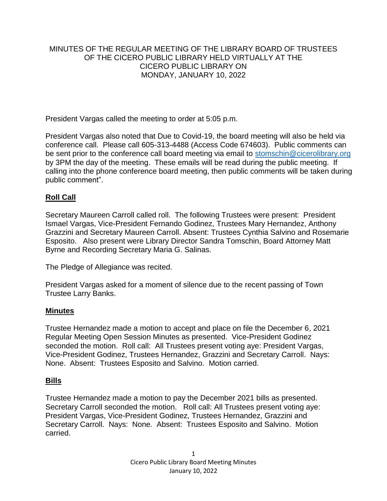## MINUTES OF THE REGULAR MEETING OF THE LIBRARY BOARD OF TRUSTEES OF THE CICERO PUBLIC LIBRARY HELD VIRTUALLY AT THE CICERO PUBLIC LIBRARY ON MONDAY, JANUARY 10, 2022

President Vargas called the meeting to order at 5:05 p.m.

President Vargas also noted that Due to Covid-19, the board meeting will also be held via conference call. Please call 605-313-4488 (Access Code 674603). Public comments can be sent prior to the conference call board meeting via email to [stomschin@cicerolibrary.org](mailto:stomschin@cicerolibrary.org) by 3PM the day of the meeting. These emails will be read during the public meeting. If calling into the phone conference board meeting, then public comments will be taken during public comment".

# **Roll Call**

Secretary Maureen Carroll called roll. The following Trustees were present: President Ismael Vargas, Vice-President Fernando Godinez, Trustees Mary Hernandez, Anthony Grazzini and Secretary Maureen Carroll. Absent: Trustees Cynthia Salvino and Rosemarie Esposito. Also present were Library Director Sandra Tomschin, Board Attorney Matt Byrne and Recording Secretary Maria G. Salinas.

The Pledge of Allegiance was recited.

President Vargas asked for a moment of silence due to the recent passing of Town Trustee Larry Banks.

## **Minutes**

Trustee Hernandez made a motion to accept and place on file the December 6, 2021 Regular Meeting Open Session Minutes as presented. Vice-President Godinez seconded the motion. Roll call: All Trustees present voting aye: President Vargas, Vice-President Godinez, Trustees Hernandez, Grazzini and Secretary Carroll. Nays: None. Absent: Trustees Esposito and Salvino. Motion carried.

## **Bills**

Trustee Hernandez made a motion to pay the December 2021 bills as presented. Secretary Carroll seconded the motion. Roll call: All Trustees present voting aye: President Vargas, Vice-President Godinez, Trustees Hernandez, Grazzini and Secretary Carroll. Nays: None. Absent: Trustees Esposito and Salvino. Motion carried.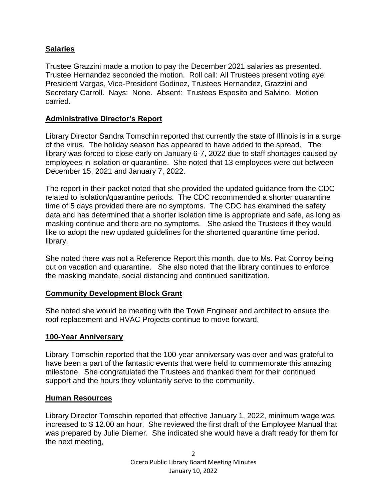# **Salaries**

Trustee Grazzini made a motion to pay the December 2021 salaries as presented. Trustee Hernandez seconded the motion. Roll call: All Trustees present voting aye: President Vargas, Vice-President Godinez, Trustees Hernandez, Grazzini and Secretary Carroll. Nays: None. Absent: Trustees Esposito and Salvino. Motion carried.

## **Administrative Director's Report**

Library Director Sandra Tomschin reported that currently the state of Illinois is in a surge of the virus. The holiday season has appeared to have added to the spread. The library was forced to close early on January 6-7, 2022 due to staff shortages caused by employees in isolation or quarantine. She noted that 13 employees were out between December 15, 2021 and January 7, 2022.

The report in their packet noted that she provided the updated guidance from the CDC related to isolation/quarantine periods. The CDC recommended a shorter quarantine time of 5 days provided there are no symptoms. The CDC has examined the safety data and has determined that a shorter isolation time is appropriate and safe, as long as masking continue and there are no symptoms. She asked the Trustees if they would like to adopt the new updated guidelines for the shortened quarantine time period. library.

She noted there was not a Reference Report this month, due to Ms. Pat Conroy being out on vacation and quarantine. She also noted that the library continues to enforce the masking mandate, social distancing and continued sanitization.

## **Community Development Block Grant**

She noted she would be meeting with the Town Engineer and architect to ensure the roof replacement and HVAC Projects continue to move forward.

## **100-Year Anniversary**

Library Tomschin reported that the 100-year anniversary was over and was grateful to have been a part of the fantastic events that were held to commemorate this amazing milestone. She congratulated the Trustees and thanked them for their continued support and the hours they voluntarily serve to the community.

## **Human Resources**

Library Director Tomschin reported that effective January 1, 2022, minimum wage was increased to \$ 12.00 an hour. She reviewed the first draft of the Employee Manual that was prepared by Julie Diemer. She indicated she would have a draft ready for them for the next meeting,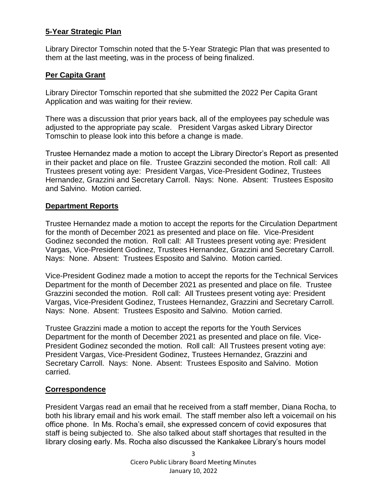## **5-Year Strategic Plan**

Library Director Tomschin noted that the 5-Year Strategic Plan that was presented to them at the last meeting, was in the process of being finalized.

# **Per Capita Grant**

Library Director Tomschin reported that she submitted the 2022 Per Capita Grant Application and was waiting for their review.

There was a discussion that prior years back, all of the employees pay schedule was adjusted to the appropriate pay scale. President Vargas asked Library Director Tomschin to please look into this before a change is made.

Trustee Hernandez made a motion to accept the Library Director's Report as presented in their packet and place on file. Trustee Grazzini seconded the motion. Roll call: All Trustees present voting aye: President Vargas, Vice-President Godinez, Trustees Hernandez, Grazzini and Secretary Carroll. Nays: None. Absent: Trustees Esposito and Salvino. Motion carried.

## **Department Reports**

Trustee Hernandez made a motion to accept the reports for the Circulation Department for the month of December 2021 as presented and place on file. Vice-President Godinez seconded the motion. Roll call: All Trustees present voting aye: President Vargas, Vice-President Godinez, Trustees Hernandez, Grazzini and Secretary Carroll. Nays: None. Absent: Trustees Esposito and Salvino. Motion carried.

Vice-President Godinez made a motion to accept the reports for the Technical Services Department for the month of December 2021 as presented and place on file. Trustee Grazzini seconded the motion. Roll call: All Trustees present voting aye: President Vargas, Vice-President Godinez, Trustees Hernandez, Grazzini and Secretary Carroll. Nays: None. Absent: Trustees Esposito and Salvino. Motion carried.

Trustee Grazzini made a motion to accept the reports for the Youth Services Department for the month of December 2021 as presented and place on file. Vice-President Godinez seconded the motion. Roll call: All Trustees present voting aye: President Vargas, Vice-President Godinez, Trustees Hernandez, Grazzini and Secretary Carroll. Nays: None. Absent: Trustees Esposito and Salvino. Motion carried.

## **Correspondence**

President Vargas read an email that he received from a staff member, Diana Rocha, to both his library email and his work email. The staff member also left a voicemail on his office phone. In Ms. Rocha's email, she expressed concern of covid exposures that staff is being subjected to. She also talked about staff shortages that resulted in the library closing early. Ms. Rocha also discussed the Kankakee Library's hours model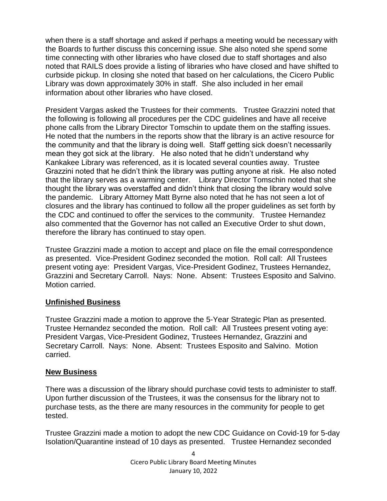when there is a staff shortage and asked if perhaps a meeting would be necessary with the Boards to further discuss this concerning issue. She also noted she spend some time connecting with other libraries who have closed due to staff shortages and also noted that RAILS does provide a listing of libraries who have closed and have shifted to curbside pickup. In closing she noted that based on her calculations, the Cicero Public Library was down approximately 30% in staff. She also included in her email information about other libraries who have closed.

President Vargas asked the Trustees for their comments. Trustee Grazzini noted that the following is following all procedures per the CDC guidelines and have all receive phone calls from the Library Director Tomschin to update them on the staffing issues. He noted that the numbers in the reports show that the library is an active resource for the community and that the library is doing well. Staff getting sick doesn't necessarily mean they got sick at the library. He also noted that he didn't understand why Kankakee Library was referenced, as it is located several counties away. Trustee Grazzini noted that he didn't think the library was putting anyone at risk. He also noted that the library serves as a warming center. Library Director Tomschin noted that she thought the library was overstaffed and didn't think that closing the library would solve the pandemic. Library Attorney Matt Byrne also noted that he has not seen a lot of closures and the library has continued to follow all the proper guidelines as set forth by the CDC and continued to offer the services to the community. Trustee Hernandez also commented that the Governor has not called an Executive Order to shut down, therefore the library has continued to stay open.

Trustee Grazzini made a motion to accept and place on file the email correspondence as presented. Vice-President Godinez seconded the motion. Roll call: All Trustees present voting aye: President Vargas, Vice-President Godinez, Trustees Hernandez, Grazzini and Secretary Carroll. Nays: None. Absent: Trustees Esposito and Salvino. Motion carried.

## **Unfinished Business**

Trustee Grazzini made a motion to approve the 5-Year Strategic Plan as presented. Trustee Hernandez seconded the motion. Roll call: All Trustees present voting aye: President Vargas, Vice-President Godinez, Trustees Hernandez, Grazzini and Secretary Carroll. Nays: None. Absent: Trustees Esposito and Salvino. Motion carried.

#### **New Business**

There was a discussion of the library should purchase covid tests to administer to staff. Upon further discussion of the Trustees, it was the consensus for the library not to purchase tests, as the there are many resources in the community for people to get tested.

Trustee Grazzini made a motion to adopt the new CDC Guidance on Covid-19 for 5-day Isolation/Quarantine instead of 10 days as presented. Trustee Hernandez seconded